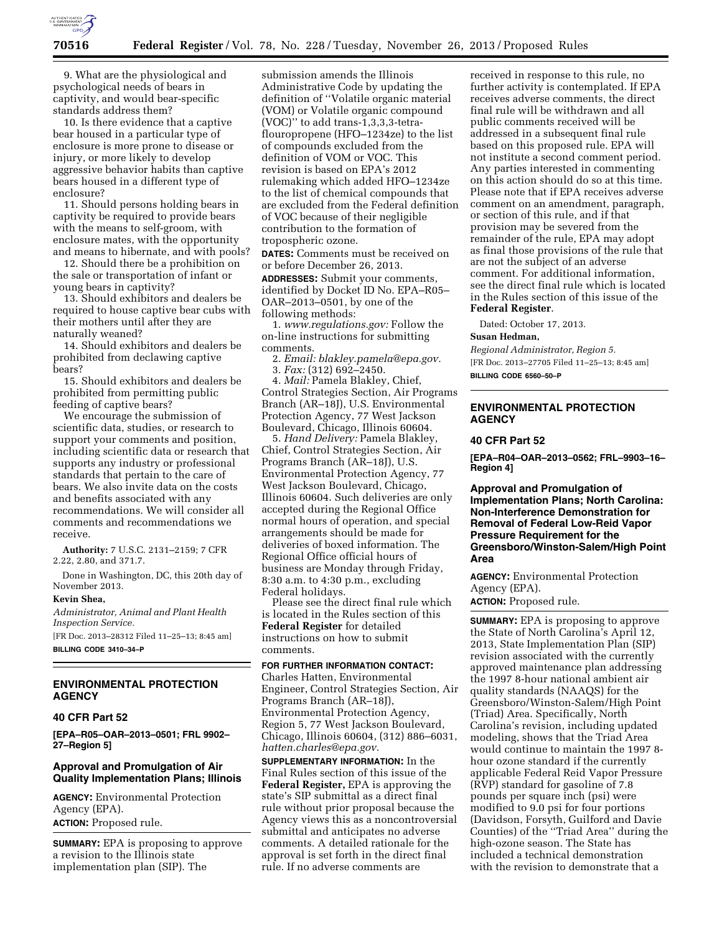

9. What are the physiological and psychological needs of bears in captivity, and would bear-specific standards address them?

10. Is there evidence that a captive bear housed in a particular type of enclosure is more prone to disease or injury, or more likely to develop aggressive behavior habits than captive bears housed in a different type of enclosure?

11. Should persons holding bears in captivity be required to provide bears with the means to self-groom, with enclosure mates, with the opportunity and means to hibernate, and with pools?

12. Should there be a prohibition on the sale or transportation of infant or young bears in captivity?

13. Should exhibitors and dealers be required to house captive bear cubs with their mothers until after they are naturally weaned?

14. Should exhibitors and dealers be prohibited from declawing captive bears?

15. Should exhibitors and dealers be prohibited from permitting public feeding of captive bears?

We encourage the submission of scientific data, studies, or research to support your comments and position, including scientific data or research that supports any industry or professional standards that pertain to the care of bears. We also invite data on the costs and benefits associated with any recommendations. We will consider all comments and recommendations we receive.

**Authority:** 7 U.S.C. 2131–2159; 7 CFR 2.22, 2.80, and 371.7.

Done in Washington, DC, this 20th day of November 2013.

#### **Kevin Shea,**

*Administrator, Animal and Plant Health Inspection Service.*  [FR Doc. 2013–28312 Filed 11–25–13; 8:45 am] **BILLING CODE 3410–34–P** 

### **ENVIRONMENTAL PROTECTION AGENCY**

#### **40 CFR Part 52**

**[EPA–R05–OAR–2013–0501; FRL 9902– 27–Region 5]** 

#### **Approval and Promulgation of Air Quality Implementation Plans; Illinois**

**AGENCY:** Environmental Protection Agency (EPA). **ACTION:** Proposed rule.

**SUMMARY:** EPA is proposing to approve a revision to the Illinois state implementation plan (SIP). The

submission amends the Illinois Administrative Code by updating the definition of ''Volatile organic material (VOM) or Volatile organic compound (VOC)'' to add trans-1,3,3,3-tetraflouropropene (HFO–1234ze) to the list of compounds excluded from the definition of VOM or VOC. This revision is based on EPA's 2012 rulemaking which added HFO–1234ze to the list of chemical compounds that are excluded from the Federal definition of VOC because of their negligible contribution to the formation of tropospheric ozone.

**DATES:** Comments must be received on or before December 26, 2013.

**ADDRESSES:** Submit your comments, identified by Docket ID No. EPA–R05– OAR–2013–0501, by one of the following methods:

1. *[www.regulations.gov:](http://www.regulations.gov)* Follow the on-line instructions for submitting comments.

2. *Email: [blakley.pamela@epa.gov.](mailto:blakley.pamela@epa.gov)*  3. *Fax:* (312) 692–2450.

4. *Mail:* Pamela Blakley, Chief, Control Strategies Section, Air Programs Branch (AR–18J), U.S. Environmental Protection Agency, 77 West Jackson Boulevard, Chicago, Illinois 60604.

5. *Hand Delivery:* Pamela Blakley, Chief, Control Strategies Section, Air Programs Branch (AR–18J), U.S. Environmental Protection Agency, 77 West Jackson Boulevard, Chicago, Illinois 60604. Such deliveries are only accepted during the Regional Office normal hours of operation, and special arrangements should be made for deliveries of boxed information. The Regional Office official hours of business are Monday through Friday, 8:30 a.m. to 4:30 p.m., excluding Federal holidays.

Please see the direct final rule which is located in the Rules section of this **Federal Register** for detailed instructions on how to submit comments.

# **FOR FURTHER INFORMATION CONTACT:**

Charles Hatten, Environmental Engineer, Control Strategies Section, Air Programs Branch (AR–18J), Environmental Protection Agency, Region 5, 77 West Jackson Boulevard, Chicago, Illinois 60604, (312) 886–6031, *[hatten.charles@epa.gov.](mailto:hatten.charles@epa.gov)* 

**SUPPLEMENTARY INFORMATION:** In the Final Rules section of this issue of the **Federal Register,** EPA is approving the state's SIP submittal as a direct final rule without prior proposal because the Agency views this as a noncontroversial submittal and anticipates no adverse comments. A detailed rationale for the approval is set forth in the direct final rule. If no adverse comments are

received in response to this rule, no further activity is contemplated. If EPA receives adverse comments, the direct final rule will be withdrawn and all public comments received will be addressed in a subsequent final rule based on this proposed rule. EPA will not institute a second comment period. Any parties interested in commenting on this action should do so at this time. Please note that if EPA receives adverse comment on an amendment, paragraph, or section of this rule, and if that provision may be severed from the remainder of the rule, EPA may adopt as final those provisions of the rule that are not the subject of an adverse comment. For additional information, see the direct final rule which is located in the Rules section of this issue of the **Federal Register**.

Dated: October 17, 2013.

## **Susan Hedman,**

*Regional Administrator, Region 5.*  [FR Doc. 2013–27705 Filed 11–25–13; 8:45 am]

**BILLING CODE 6560–50–P** 

## **ENVIRONMENTAL PROTECTION AGENCY**

#### **40 CFR Part 52**

**[EPA–R04–OAR–2013–0562; FRL–9903–16– Region 4]** 

**Approval and Promulgation of Implementation Plans; North Carolina: Non-Interference Demonstration for Removal of Federal Low-Reid Vapor Pressure Requirement for the Greensboro/Winston-Salem/High Point Area** 

**AGENCY:** Environmental Protection Agency (EPA). **ACTION:** Proposed rule.

**SUMMARY:** EPA is proposing to approve the State of North Carolina's April 12, 2013, State Implementation Plan (SIP) revision associated with the currently approved maintenance plan addressing the 1997 8-hour national ambient air quality standards (NAAQS) for the Greensboro/Winston-Salem/High Point (Triad) Area. Specifically, North Carolina's revision, including updated modeling, shows that the Triad Area would continue to maintain the 1997 8 hour ozone standard if the currently applicable Federal Reid Vapor Pressure (RVP) standard for gasoline of 7.8 pounds per square inch (psi) were modified to 9.0 psi for four portions (Davidson, Forsyth, Guilford and Davie Counties) of the ''Triad Area'' during the high-ozone season. The State has included a technical demonstration with the revision to demonstrate that a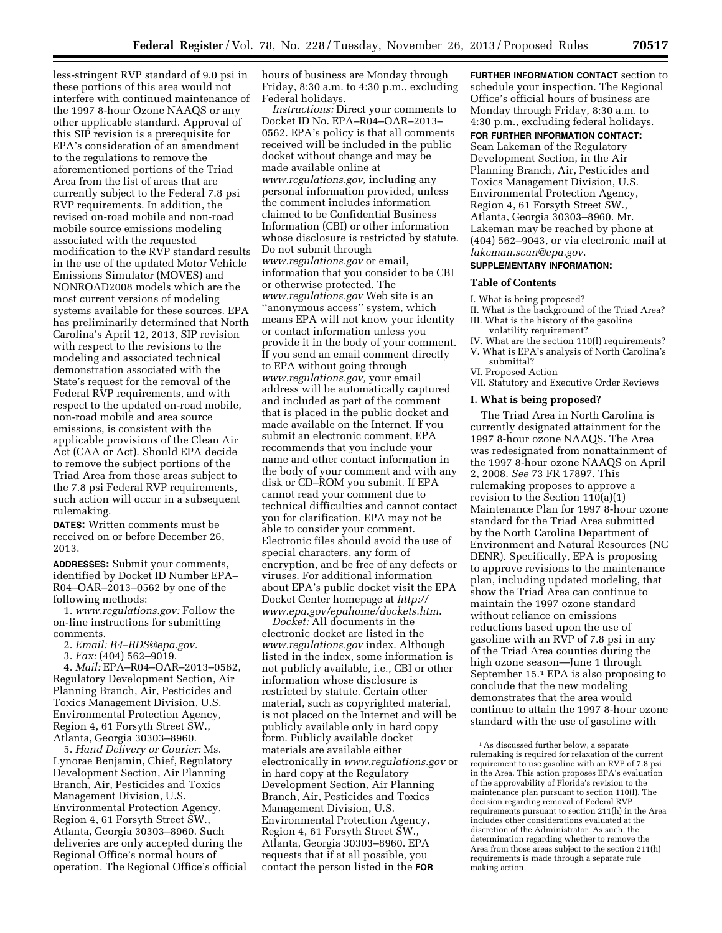less-stringent RVP standard of 9.0 psi in these portions of this area would not interfere with continued maintenance of the 1997 8-hour Ozone NAAQS or any other applicable standard. Approval of this SIP revision is a prerequisite for EPA's consideration of an amendment to the regulations to remove the aforementioned portions of the Triad Area from the list of areas that are currently subject to the Federal 7.8 psi RVP requirements. In addition, the revised on-road mobile and non-road mobile source emissions modeling associated with the requested modification to the RVP standard results in the use of the updated Motor Vehicle Emissions Simulator (MOVES) and NONROAD2008 models which are the most current versions of modeling systems available for these sources. EPA has preliminarily determined that North Carolina's April 12, 2013, SIP revision with respect to the revisions to the modeling and associated technical demonstration associated with the State's request for the removal of the Federal RVP requirements, and with respect to the updated on-road mobile, non-road mobile and area source emissions, is consistent with the applicable provisions of the Clean Air Act (CAA or Act). Should EPA decide to remove the subject portions of the Triad Area from those areas subject to the 7.8 psi Federal RVP requirements, such action will occur in a subsequent rulemaking.

**DATES:** Written comments must be received on or before December 26, 2013.

**ADDRESSES:** Submit your comments, identified by Docket ID Number EPA– R04–OAR–2013–0562 by one of the following methods:

1. *[www.regulations.gov:](http://www.regulations.gov)* Follow the on-line instructions for submitting comments.

2. *Email: [R4–RDS@epa.gov.](mailto:R4-RDS@epa.gov)* 

3. *Fax:* (404) 562–9019.

4. *Mail:* EPA–R04–OAR–2013–0562, Regulatory Development Section, Air Planning Branch, Air, Pesticides and Toxics Management Division, U.S. Environmental Protection Agency, Region 4, 61 Forsyth Street SW., Atlanta, Georgia 30303–8960.

5. *Hand Delivery or Courier:* Ms. Lynorae Benjamin, Chief, Regulatory Development Section, Air Planning Branch, Air, Pesticides and Toxics Management Division, U.S. Environmental Protection Agency, Region 4, 61 Forsyth Street SW., Atlanta, Georgia 30303–8960. Such deliveries are only accepted during the Regional Office's normal hours of operation. The Regional Office's official hours of business are Monday through Friday, 8:30 a.m. to 4:30 p.m., excluding Federal holidays.

*Instructions:* Direct your comments to Docket ID No. EPA–R04–OAR–2013– 0562. EPA's policy is that all comments received will be included in the public docket without change and may be made available online at *[www.regulations.gov,](http://www.regulations.gov)* including any personal information provided, unless the comment includes information claimed to be Confidential Business Information (CBI) or other information whose disclosure is restricted by statute. Do not submit through *[www.regulations.gov](http://www.regulations.gov)* or email, information that you consider to be CBI or otherwise protected. The *[www.regulations.gov](http://www.regulations.gov)* Web site is an ''anonymous access'' system, which means EPA will not know your identity or contact information unless you provide it in the body of your comment. If you send an email comment directly to EPA without going through *[www.regulations.gov,](http://www.regulations.gov)* your email address will be automatically captured and included as part of the comment that is placed in the public docket and made available on the Internet. If you submit an electronic comment, EPA recommends that you include your name and other contact information in the body of your comment and with any disk or CD–ROM you submit. If EPA cannot read your comment due to technical difficulties and cannot contact you for clarification, EPA may not be able to consider your comment. Electronic files should avoid the use of special characters, any form of encryption, and be free of any defects or viruses. For additional information about EPA's public docket visit the EPA Docket Center homepage at *[http://](http://www.epa.gov/epahome/dockets.htm) [www.epa.gov/epahome/dockets.htm](http://www.epa.gov/epahome/dockets.htm)*.

*Docket:* All documents in the electronic docket are listed in the *[www.regulations.gov](http://www.regulations.gov)* index. Although listed in the index, some information is not publicly available, i.e., CBI or other information whose disclosure is restricted by statute. Certain other material, such as copyrighted material, is not placed on the Internet and will be publicly available only in hard copy form. Publicly available docket materials are available either electronically in *[www.regulations.gov](http://www.regulations.gov)* or in hard copy at the Regulatory Development Section, Air Planning Branch, Air, Pesticides and Toxics Management Division, U.S. Environmental Protection Agency, Region 4, 61 Forsyth Street SW., Atlanta, Georgia 30303–8960. EPA requests that if at all possible, you contact the person listed in the **FOR**

**FURTHER INFORMATION CONTACT** section to schedule your inspection. The Regional Office's official hours of business are Monday through Friday, 8:30 a.m. to 4:30 p.m., excluding federal holidays. **FOR FURTHER INFORMATION CONTACT:**  Sean Lakeman of the Regulatory Development Section, in the Air Planning Branch, Air, Pesticides and Toxics Management Division, U.S. Environmental Protection Agency, Region 4, 61 Forsyth Street SW., Atlanta, Georgia 30303–8960. Mr. Lakeman may be reached by phone at (404) 562–9043, or via electronic mail at *[lakeman.sean@epa.gov](mailto:lakeman.sean@epa.gov)*.

## **SUPPLEMENTARY INFORMATION:**

#### **Table of Contents**

- I. What is being proposed?
- II. What is the background of the Triad Area? III. What is the history of the gasoline
- volatility requirement?
- IV. What are the section 110(l) requirements? V. What is EPA's analysis of North Carolina's submittal?
- VI. Proposed Action
- VII. Statutory and Executive Order Reviews

#### **I. What is being proposed?**

The Triad Area in North Carolina is currently designated attainment for the 1997 8-hour ozone NAAQS. The Area was redesignated from nonattainment of the 1997 8-hour ozone NAAQS on April 2, 2008. *See* 73 FR 17897. This rulemaking proposes to approve a revision to the Section  $110(a)(1)$ Maintenance Plan for 1997 8-hour ozone standard for the Triad Area submitted by the North Carolina Department of Environment and Natural Resources (NC DENR). Specifically, EPA is proposing to approve revisions to the maintenance plan, including updated modeling, that show the Triad Area can continue to maintain the 1997 ozone standard without reliance on emissions reductions based upon the use of gasoline with an RVP of 7.8 psi in any of the Triad Area counties during the high ozone season—June 1 through September 15.1 EPA is also proposing to conclude that the new modeling demonstrates that the area would continue to attain the 1997 8-hour ozone standard with the use of gasoline with

<sup>1</sup>As discussed further below, a separate rulemaking is required for relaxation of the current requirement to use gasoline with an RVP of 7.8 psi in the Area. This action proposes EPA's evaluation of the approvability of Florida's revision to the maintenance plan pursuant to section 110(l). The decision regarding removal of Federal RVP requirements pursuant to section 211(h) in the Area includes other considerations evaluated at the discretion of the Administrator. As such, the determination regarding whether to remove the Area from those areas subject to the section 211(h) requirements is made through a separate rule making action.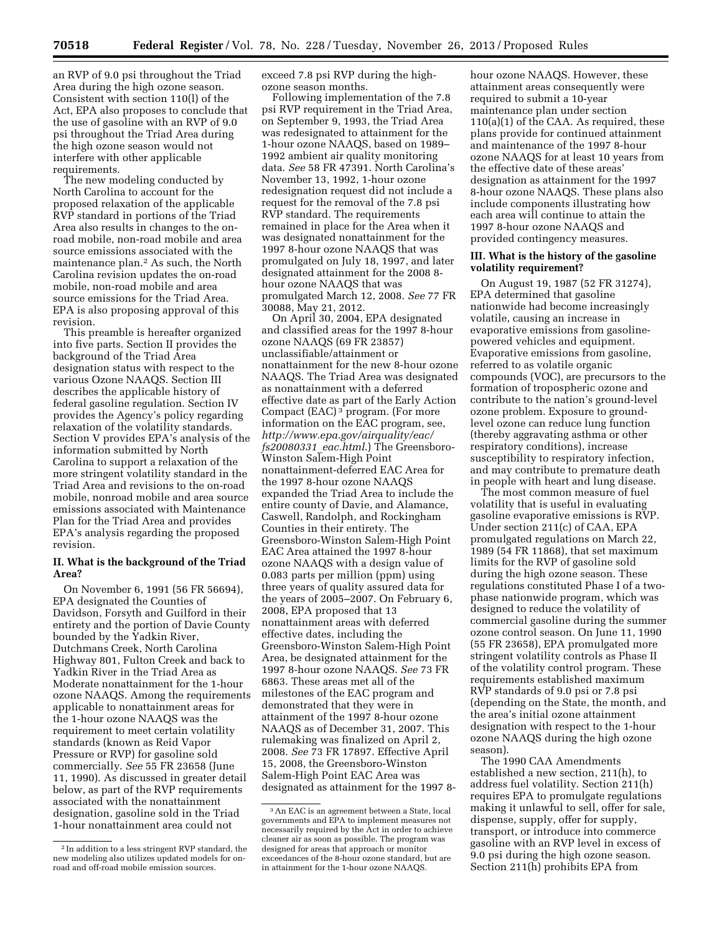an RVP of 9.0 psi throughout the Triad Area during the high ozone season. Consistent with section 110(l) of the Act, EPA also proposes to conclude that the use of gasoline with an RVP of 9.0 psi throughout the Triad Area during the high ozone season would not interfere with other applicable requirements.

The new modeling conducted by North Carolina to account for the proposed relaxation of the applicable RVP standard in portions of the Triad Area also results in changes to the onroad mobile, non-road mobile and area source emissions associated with the maintenance plan.2 As such, the North Carolina revision updates the on-road mobile, non-road mobile and area source emissions for the Triad Area. EPA is also proposing approval of this revision.

This preamble is hereafter organized into five parts. Section II provides the background of the Triad Area designation status with respect to the various Ozone NAAQS. Section III describes the applicable history of federal gasoline regulation. Section IV provides the Agency's policy regarding relaxation of the volatility standards. Section V provides EPA's analysis of the information submitted by North Carolina to support a relaxation of the more stringent volatility standard in the Triad Area and revisions to the on-road mobile, nonroad mobile and area source emissions associated with Maintenance Plan for the Triad Area and provides EPA's analysis regarding the proposed revision.

### **II. What is the background of the Triad Area?**

On November 6, 1991 (56 FR 56694), EPA designated the Counties of Davidson, Forsyth and Guilford in their entirety and the portion of Davie County bounded by the Yadkin River, Dutchmans Creek, North Carolina Highway 801, Fulton Creek and back to Yadkin River in the Triad Area as Moderate nonattainment for the 1-hour ozone NAAQS. Among the requirements applicable to nonattainment areas for the 1-hour ozone NAAQS was the requirement to meet certain volatility standards (known as Reid Vapor Pressure or RVP) for gasoline sold commercially. *See* 55 FR 23658 (June 11, 1990). As discussed in greater detail below, as part of the RVP requirements associated with the nonattainment designation, gasoline sold in the Triad 1-hour nonattainment area could not

exceed 7.8 psi RVP during the highozone season months.

Following implementation of the 7.8 psi RVP requirement in the Triad Area, on September 9, 1993, the Triad Area was redesignated to attainment for the 1-hour ozone NAAQS, based on 1989– 1992 ambient air quality monitoring data. *See* 58 FR 47391. North Carolina's November 13, 1992, 1-hour ozone redesignation request did not include a request for the removal of the 7.8 psi RVP standard. The requirements remained in place for the Area when it was designated nonattainment for the 1997 8-hour ozone NAAQS that was promulgated on July 18, 1997, and later designated attainment for the 2008 8 hour ozone NAAQS that was promulgated March 12, 2008. *See* 77 FR 30088, May 21, 2012.

On April 30, 2004, EPA designated and classified areas for the 1997 8-hour ozone NAAQS (69 FR 23857) unclassifiable/attainment or nonattainment for the new 8-hour ozone NAAQS. The Triad Area was designated as nonattainment with a deferred effective date as part of the Early Action Compact (EAC) 3 program. (For more information on the EAC program, see, *[http://www.epa.gov/airquality/eac/](http://www.epa.gov/airquality/eac/fs20080331_eac.html) [fs20080331](http://www.epa.gov/airquality/eac/fs20080331_eac.html)*\_*eac.html*.) The Greensboro-Winston Salem-High Point nonattainment-deferred EAC Area for the 1997 8-hour ozone NAAQS expanded the Triad Area to include the entire county of Davie, and Alamance, Caswell, Randolph, and Rockingham Counties in their entirety. The Greensboro-Winston Salem-High Point EAC Area attained the 1997 8-hour ozone NAAQS with a design value of 0.083 parts per million (ppm) using three years of quality assured data for the years of 2005–2007. On February 6, 2008, EPA proposed that 13 nonattainment areas with deferred effective dates, including the Greensboro-Winston Salem-High Point Area, be designated attainment for the 1997 8-hour ozone NAAQS. *See* 73 FR 6863. These areas met all of the milestones of the EAC program and demonstrated that they were in attainment of the 1997 8-hour ozone NAAQS as of December 31, 2007. This rulemaking was finalized on April 2, 2008. *See* 73 FR 17897. Effective April 15, 2008, the Greensboro-Winston Salem-High Point EAC Area was designated as attainment for the 1997 8hour ozone NAAQS. However, these attainment areas consequently were required to submit a 10-year maintenance plan under section 110(a)(1) of the CAA. As required, these plans provide for continued attainment and maintenance of the 1997 8-hour ozone NAAQS for at least 10 years from the effective date of these areas' designation as attainment for the 1997 8-hour ozone NAAQS. These plans also include components illustrating how each area will continue to attain the 1997 8-hour ozone NAAQS and provided contingency measures.

### **III. What is the history of the gasoline volatility requirement?**

On August 19, 1987 (52 FR 31274), EPA determined that gasoline nationwide had become increasingly volatile, causing an increase in evaporative emissions from gasolinepowered vehicles and equipment. Evaporative emissions from gasoline, referred to as volatile organic compounds (VOC), are precursors to the formation of tropospheric ozone and contribute to the nation's ground-level ozone problem. Exposure to groundlevel ozone can reduce lung function (thereby aggravating asthma or other respiratory conditions), increase susceptibility to respiratory infection, and may contribute to premature death in people with heart and lung disease.

The most common measure of fuel volatility that is useful in evaluating gasoline evaporative emissions is RVP. Under section 211(c) of CAA, EPA promulgated regulations on March 22, 1989 (54 FR 11868), that set maximum limits for the RVP of gasoline sold during the high ozone season. These regulations constituted Phase I of a twophase nationwide program, which was designed to reduce the volatility of commercial gasoline during the summer ozone control season. On June 11, 1990 (55 FR 23658), EPA promulgated more stringent volatility controls as Phase II of the volatility control program. These requirements established maximum RVP standards of 9.0 psi or 7.8 psi (depending on the State, the month, and the area's initial ozone attainment designation with respect to the 1-hour ozone NAAQS during the high ozone season).

The 1990 CAA Amendments established a new section, 211(h), to address fuel volatility. Section 211(h) requires EPA to promulgate regulations making it unlawful to sell, offer for sale, dispense, supply, offer for supply, transport, or introduce into commerce gasoline with an RVP level in excess of 9.0 psi during the high ozone season. Section 211(h) prohibits EPA from

<sup>2</sup> In addition to a less stringent RVP standard, the new modeling also utilizes updated models for onroad and off-road mobile emission sources.

<sup>3</sup>An EAC is an agreement between a State, local governments and EPA to implement measures not necessarily required by the Act in order to achieve cleaner air as soon as possible. The program was designed for areas that approach or monitor exceedances of the 8-hour ozone standard, but are in attainment for the 1-hour ozone NAAQS.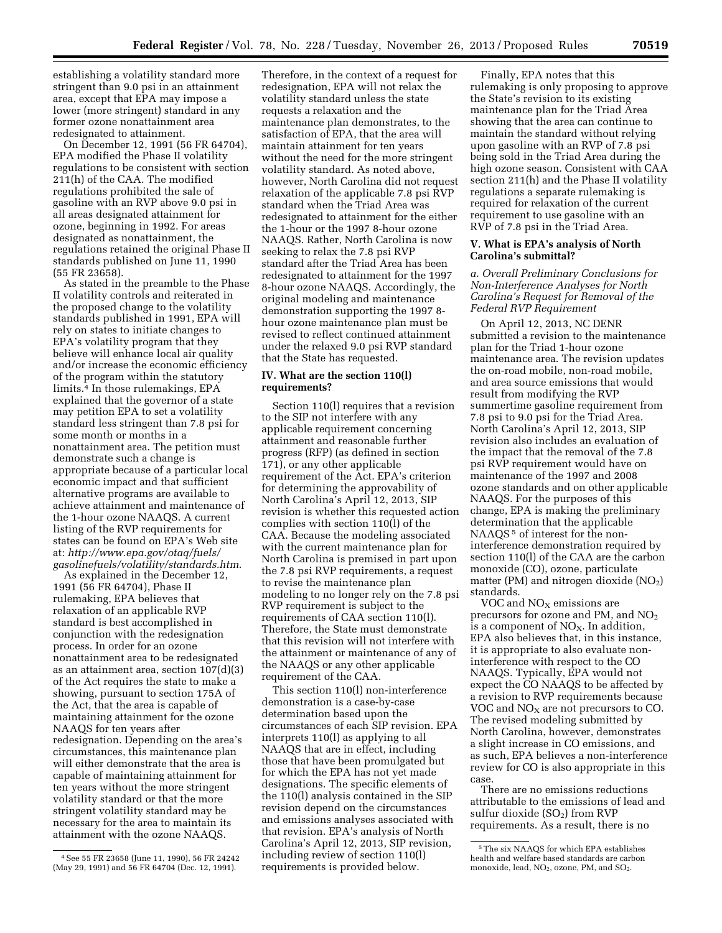establishing a volatility standard more stringent than 9.0 psi in an attainment area, except that EPA may impose a lower (more stringent) standard in any former ozone nonattainment area redesignated to attainment.

On December 12, 1991 (56 FR 64704), EPA modified the Phase II volatility regulations to be consistent with section 211(h) of the CAA. The modified regulations prohibited the sale of gasoline with an RVP above 9.0 psi in all areas designated attainment for ozone, beginning in 1992. For areas designated as nonattainment, the regulations retained the original Phase II standards published on June 11, 1990 (55 FR 23658).

As stated in the preamble to the Phase II volatility controls and reiterated in the proposed change to the volatility standards published in 1991, EPA will rely on states to initiate changes to EPA's volatility program that they believe will enhance local air quality and/or increase the economic efficiency of the program within the statutory limits.4 In those rulemakings, EPA explained that the governor of a state may petition EPA to set a volatility standard less stringent than 7.8 psi for some month or months in a nonattainment area. The petition must demonstrate such a change is appropriate because of a particular local economic impact and that sufficient alternative programs are available to achieve attainment and maintenance of the 1-hour ozone NAAQS. A current listing of the RVP requirements for states can be found on EPA's Web site at: *[http://www.epa.gov/otaq/fuels/](http://www.epa.gov/otaq/fuels/gasolinefuels/volatility/standards.htm) [gasolinefuels/volatility/standards.htm](http://www.epa.gov/otaq/fuels/gasolinefuels/volatility/standards.htm)*.

As explained in the December 12, 1991 (56 FR 64704), Phase II rulemaking, EPA believes that relaxation of an applicable RVP standard is best accomplished in conjunction with the redesignation process. In order for an ozone nonattainment area to be redesignated as an attainment area, section 107(d)(3) of the Act requires the state to make a showing, pursuant to section 175A of the Act, that the area is capable of maintaining attainment for the ozone NAAQS for ten years after redesignation. Depending on the area's circumstances, this maintenance plan will either demonstrate that the area is capable of maintaining attainment for ten years without the more stringent volatility standard or that the more stringent volatility standard may be necessary for the area to maintain its attainment with the ozone NAAQS.

Therefore, in the context of a request for redesignation, EPA will not relax the volatility standard unless the state requests a relaxation and the maintenance plan demonstrates, to the satisfaction of EPA, that the area will maintain attainment for ten years without the need for the more stringent volatility standard. As noted above, however, North Carolina did not request relaxation of the applicable 7.8 psi RVP standard when the Triad Area was redesignated to attainment for the either the 1-hour or the 1997 8-hour ozone NAAQS. Rather, North Carolina is now seeking to relax the 7.8 psi RVP standard after the Triad Area has been redesignated to attainment for the 1997 8-hour ozone NAAQS. Accordingly, the original modeling and maintenance demonstration supporting the 1997 8 hour ozone maintenance plan must be revised to reflect continued attainment under the relaxed 9.0 psi RVP standard that the State has requested.

### **IV. What are the section 110(l) requirements?**

Section 110(l) requires that a revision to the SIP not interfere with any applicable requirement concerning attainment and reasonable further progress (RFP) (as defined in section 171), or any other applicable requirement of the Act. EPA's criterion for determining the approvability of North Carolina's April 12, 2013, SIP revision is whether this requested action complies with section 110(l) of the CAA. Because the modeling associated with the current maintenance plan for North Carolina is premised in part upon the 7.8 psi RVP requirements, a request to revise the maintenance plan modeling to no longer rely on the 7.8 psi RVP requirement is subject to the requirements of CAA section 110(l). Therefore, the State must demonstrate that this revision will not interfere with the attainment or maintenance of any of the NAAQS or any other applicable requirement of the CAA.

This section 110(l) non-interference demonstration is a case-by-case determination based upon the circumstances of each SIP revision. EPA interprets 110(l) as applying to all NAAQS that are in effect, including those that have been promulgated but for which the EPA has not yet made designations. The specific elements of the 110(l) analysis contained in the SIP revision depend on the circumstances and emissions analyses associated with that revision. EPA's analysis of North Carolina's April 12, 2013, SIP revision, including review of section 110(l) requirements is provided below.

Finally, EPA notes that this rulemaking is only proposing to approve the State's revision to its existing maintenance plan for the Triad Area showing that the area can continue to maintain the standard without relying upon gasoline with an RVP of 7.8 psi being sold in the Triad Area during the high ozone season. Consistent with CAA section 211(h) and the Phase II volatility regulations a separate rulemaking is required for relaxation of the current requirement to use gasoline with an RVP of 7.8 psi in the Triad Area.

### **V. What is EPA's analysis of North Carolina's submittal?**

### *a. Overall Preliminary Conclusions for Non-Interference Analyses for North Carolina's Request for Removal of the Federal RVP Requirement*

On April 12, 2013, NC DENR submitted a revision to the maintenance plan for the Triad 1-hour ozone maintenance area. The revision updates the on-road mobile, non-road mobile, and area source emissions that would result from modifying the RVP summertime gasoline requirement from 7.8 psi to 9.0 psi for the Triad Area. North Carolina's April 12, 2013, SIP revision also includes an evaluation of the impact that the removal of the 7.8 psi RVP requirement would have on maintenance of the 1997 and 2008 ozone standards and on other applicable NAAQS. For the purposes of this change, EPA is making the preliminary determination that the applicable NAAQS<sup>5</sup> of interest for the noninterference demonstration required by section 110(l) of the CAA are the carbon monoxide (CO), ozone, particulate matter (PM) and nitrogen dioxide  $(NO<sub>2</sub>)$ standards.

VOC and  $NO<sub>X</sub>$  emissions are precursors for ozone and PM, and NO2 is a component of  $NO<sub>X</sub>$ . In addition, EPA also believes that, in this instance, it is appropriate to also evaluate noninterference with respect to the CO NAAQS. Typically, EPA would not expect the CO NAAQS to be affected by a revision to RVP requirements because VOC and  $NO<sub>X</sub>$  are not precursors to CO. The revised modeling submitted by North Carolina, however, demonstrates a slight increase in CO emissions, and as such, EPA believes a non-interference review for CO is also appropriate in this case.

There are no emissions reductions attributable to the emissions of lead and sulfur dioxide  $(SO<sub>2</sub>)$  from RVP requirements. As a result, there is no

<sup>4</sup>See 55 FR 23658 (June 11, 1990), 56 FR 24242 (May 29, 1991) and 56 FR 64704 (Dec. 12, 1991).

<sup>5</sup>The six NAAQS for which EPA establishes health and welfare based standards are carbon monoxide, lead, NO<sub>2</sub>, ozone, PM, and SO<sub>2</sub>.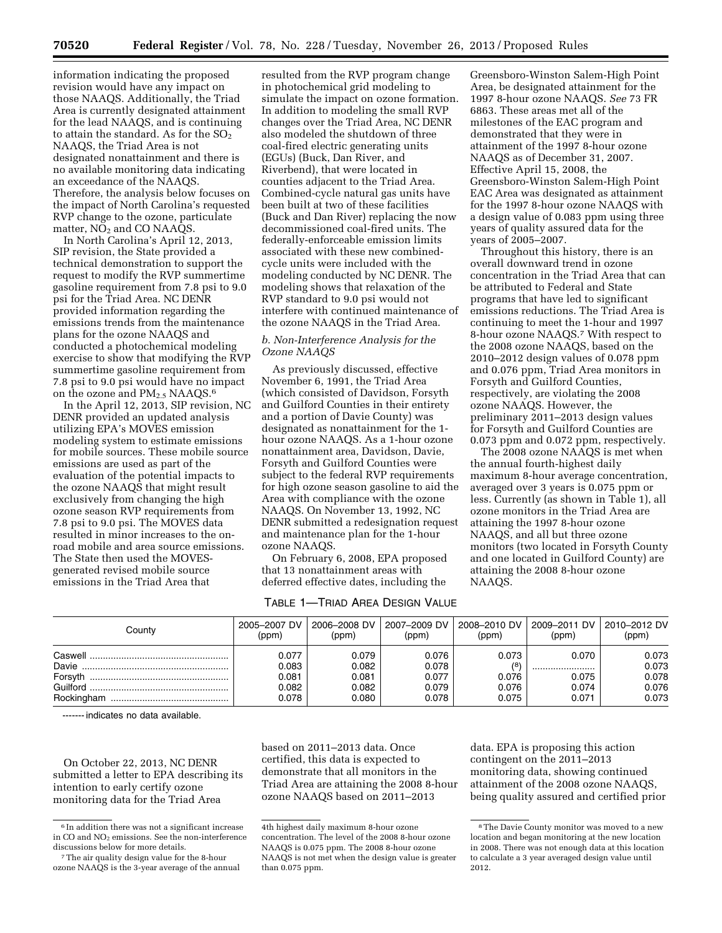information indicating the proposed revision would have any impact on those NAAQS. Additionally, the Triad Area is currently designated attainment for the lead NAAQS, and is continuing to attain the standard. As for the  $SO<sub>2</sub>$ NAAQS, the Triad Area is not designated nonattainment and there is no available monitoring data indicating an exceedance of the NAAQS. Therefore, the analysis below focuses on the impact of North Carolina's requested RVP change to the ozone, particulate matter,  $NO<sub>2</sub>$  and CO NAAQS.

In North Carolina's April 12, 2013, SIP revision, the State provided a technical demonstration to support the request to modify the RVP summertime gasoline requirement from 7.8 psi to 9.0 psi for the Triad Area. NC DENR provided information regarding the emissions trends from the maintenance plans for the ozone NAAQS and conducted a photochemical modeling exercise to show that modifying the RVP summertime gasoline requirement from 7.8 psi to 9.0 psi would have no impact on the ozone and PM<sub>2.5</sub> NAAQS.<sup>6</sup>

In the April 12, 2013, SIP revision, NC DENR provided an updated analysis utilizing EPA's MOVES emission modeling system to estimate emissions for mobile sources. These mobile source emissions are used as part of the evaluation of the potential impacts to the ozone NAAQS that might result exclusively from changing the high ozone season RVP requirements from 7.8 psi to 9.0 psi. The MOVES data resulted in minor increases to the onroad mobile and area source emissions. The State then used the MOVESgenerated revised mobile source emissions in the Triad Area that

resulted from the RVP program change in photochemical grid modeling to simulate the impact on ozone formation. In addition to modeling the small RVP changes over the Triad Area, NC DENR also modeled the shutdown of three coal-fired electric generating units (EGUs) (Buck, Dan River, and Riverbend), that were located in counties adjacent to the Triad Area. Combined-cycle natural gas units have been built at two of these facilities (Buck and Dan River) replacing the now decommissioned coal-fired units. The federally-enforceable emission limits associated with these new combinedcycle units were included with the modeling conducted by NC DENR. The modeling shows that relaxation of the RVP standard to 9.0 psi would not interfere with continued maintenance of the ozone NAAQS in the Triad Area.

### *b. Non-Interference Analysis for the Ozone NAAQS*

As previously discussed, effective November 6, 1991, the Triad Area (which consisted of Davidson, Forsyth and Guilford Counties in their entirety and a portion of Davie County) was designated as nonattainment for the 1 hour ozone NAAQS. As a 1-hour ozone nonattainment area, Davidson, Davie, Forsyth and Guilford Counties were subject to the federal RVP requirements for high ozone season gasoline to aid the Area with compliance with the ozone NAAQS. On November 13, 1992, NC DENR submitted a redesignation request and maintenance plan for the 1-hour ozone NAAQS.

On February 6, 2008, EPA proposed that 13 nonattainment areas with deferred effective dates, including the

Greensboro-Winston Salem-High Point Area, be designated attainment for the 1997 8-hour ozone NAAQS. *See* 73 FR 6863. These areas met all of the milestones of the EAC program and demonstrated that they were in attainment of the 1997 8-hour ozone NAAQS as of December 31, 2007. Effective April 15, 2008, the Greensboro-Winston Salem-High Point EAC Area was designated as attainment for the 1997 8-hour ozone NAAQS with a design value of 0.083 ppm using three years of quality assured data for the years of 2005–2007.

Throughout this history, there is an overall downward trend in ozone concentration in the Triad Area that can be attributed to Federal and State programs that have led to significant emissions reductions. The Triad Area is continuing to meet the 1-hour and 1997 8-hour ozone NAAQS.7 With respect to the 2008 ozone NAAQS, based on the 2010–2012 design values of 0.078 ppm and 0.076 ppm, Triad Area monitors in Forsyth and Guilford Counties, respectively, are violating the 2008 ozone NAAQS. However, the preliminary 2011–2013 design values for Forsyth and Guilford Counties are 0.073 ppm and 0.072 ppm, respectively.

The 2008 ozone NAAQS is met when the annual fourth-highest daily maximum 8-hour average concentration, averaged over 3 years is 0.075 ppm or less. Currently (as shown in Table 1), all ozone monitors in the Triad Area are attaining the 1997 8-hour ozone NAAQS, and all but three ozone monitors (two located in Forsyth County and one located in Guilford County) are attaining the 2008 8-hour ozone NAAQS.

TABLE 1—TRIAD AREA DESIGN VALUE

| County                                  | 2005-2007 DV                              | 2006-2008 DV                              | 2007-2009 DV                              | 2008-2010 DV                            | 2009-2011 DV                         | 2010-2012 DV                              |
|-----------------------------------------|-------------------------------------------|-------------------------------------------|-------------------------------------------|-----------------------------------------|--------------------------------------|-------------------------------------------|
|                                         | (ppm)                                     | (ppm)                                     | (ppm)                                     | (ppm)                                   | (ppm)                                | (ppm)                                     |
| Caswell<br>Davie<br>Forsyth<br>Guilford | 0.077<br>0.083<br>0.081<br>0.082<br>0.078 | 0.079<br>0.082<br>0.081<br>0.082<br>0.080 | 0.076<br>0.078<br>0.077<br>0.079<br>0.078 | 0.073<br>(8)<br>0.076<br>0.076<br>0.075 | 0.070<br><br>0.075<br>0.074<br>0.071 | 0.073<br>0.073<br>0.078<br>0.076<br>0.073 |

------- indicates no data available.

On October 22, 2013, NC DENR submitted a letter to EPA describing its intention to early certify ozone monitoring data for the Triad Area

based on 2011–2013 data. Once certified, this data is expected to demonstrate that all monitors in the Triad Area are attaining the 2008 8-hour ozone NAAQS based on 2011–2013

data. EPA is proposing this action contingent on the 2011–2013 monitoring data, showing continued attainment of the 2008 ozone NAAQS, being quality assured and certified prior

<sup>6</sup> In addition there was not a significant increase in CO and NO2 emissions. See the non-interference discussions below for more details.

<sup>7</sup>The air quality design value for the 8-hour ozone NAAQS is the 3-year average of the annual

<sup>4</sup>th highest daily maximum 8-hour ozone concentration. The level of the 2008 8-hour ozone NAAQS is 0.075 ppm. The 2008 8-hour ozone NAAQS is not met when the design value is greater than 0.075 ppm.

<sup>8</sup>The Davie County monitor was moved to a new location and began monitoring at the new location in 2008. There was not enough data at this location to calculate a 3 year averaged design value until 2012.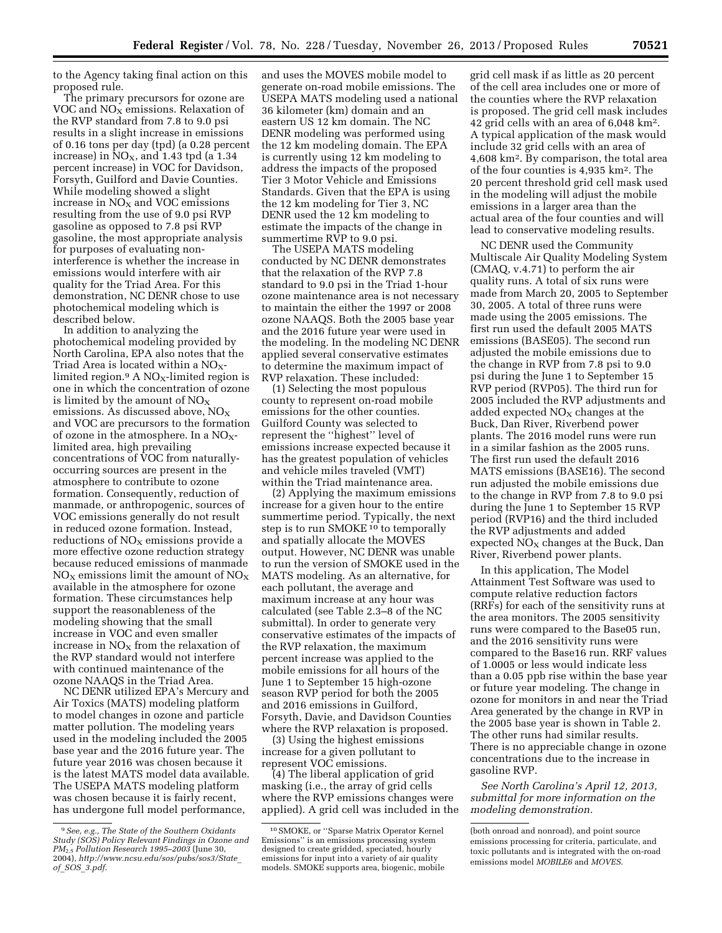to the Agency taking final action on this proposed rule.

The primary precursors for ozone are VOC and  $NO<sub>X</sub>$  emissions. Relaxation of the RVP standard from 7.8 to 9.0 psi results in a slight increase in emissions of 0.16 tons per day (tpd) (a 0.28 percent increase) in  $NO<sub>X</sub>$ , and 1.43 tpd (a 1.34 percent increase) in VOC for Davidson, Forsyth, Guilford and Davie Counties. While modeling showed a slight increase in  $NO<sub>X</sub>$  and VOC emissions resulting from the use of 9.0 psi RVP gasoline as opposed to 7.8 psi RVP gasoline, the most appropriate analysis for purposes of evaluating noninterference is whether the increase in emissions would interfere with air quality for the Triad Area. For this demonstration, NC DENR chose to use photochemical modeling which is described below.

In addition to analyzing the photochemical modeling provided by North Carolina, EPA also notes that the Triad Area is located within a  $NO<sub>X</sub>$ limited region.<sup>9</sup> A  $NO<sub>X</sub>$ -limited region is one in which the concentration of ozone is limited by the amount of  $NO<sub>x</sub>$ emissions. As discussed above,  $NO<sub>x</sub>$ and VOC are precursors to the formation of ozone in the atmosphere. In a  $NO<sub>X</sub>$ limited area, high prevailing concentrations of VOC from naturallyoccurring sources are present in the atmosphere to contribute to ozone formation. Consequently, reduction of manmade, or anthropogenic, sources of VOC emissions generally do not result in reduced ozone formation. Instead, reductions of  $NO<sub>x</sub>$  emissions provide a more effective ozone reduction strategy because reduced emissions of manmade  $NO<sub>x</sub>$  emissions limit the amount of  $NO<sub>x</sub>$ available in the atmosphere for ozone formation. These circumstances help support the reasonableness of the modeling showing that the small increase in VOC and even smaller increase in  $NO<sub>X</sub>$  from the relaxation of the RVP standard would not interfere with continued maintenance of the ozone NAAQS in the Triad Area.

NC DENR utilized EPA's Mercury and Air Toxics (MATS) modeling platform to model changes in ozone and particle matter pollution. The modeling years used in the modeling included the 2005 base year and the 2016 future year. The future year 2016 was chosen because it is the latest MATS model data available. The USEPA MATS modeling platform was chosen because it is fairly recent, has undergone full model performance,

and uses the MOVES mobile model to generate on-road mobile emissions. The USEPA MATS modeling used a national 36 kilometer (km) domain and an eastern US 12 km domain. The NC DENR modeling was performed using the 12 km modeling domain. The EPA is currently using 12 km modeling to address the impacts of the proposed Tier 3 Motor Vehicle and Emissions Standards. Given that the EPA is using the 12 km modeling for Tier 3, NC DENR used the 12 km modeling to estimate the impacts of the change in summertime RVP to 9.0 psi.

The USEPA MATS modeling conducted by NC DENR demonstrates that the relaxation of the RVP 7.8 standard to 9.0 psi in the Triad 1-hour ozone maintenance area is not necessary to maintain the either the 1997 or 2008 ozone NAAQS. Both the 2005 base year and the 2016 future year were used in the modeling. In the modeling NC DENR applied several conservative estimates to determine the maximum impact of RVP relaxation. These included:

(1) Selecting the most populous county to represent on-road mobile emissions for the other counties. Guilford County was selected to represent the ''highest'' level of emissions increase expected because it has the greatest population of vehicles and vehicle miles traveled (VMT) within the Triad maintenance area.

(2) Applying the maximum emissions increase for a given hour to the entire summertime period. Typically, the next step is to run SMOKE<sup>10</sup> to temporally and spatially allocate the MOVES output. However, NC DENR was unable to run the version of SMOKE used in the MATS modeling. As an alternative, for each pollutant, the average and maximum increase at any hour was calculated (see Table 2.3–8 of the NC submittal). In order to generate very conservative estimates of the impacts of the RVP relaxation, the maximum percent increase was applied to the mobile emissions for all hours of the June 1 to September 15 high-ozone season RVP period for both the 2005 and 2016 emissions in Guilford, Forsyth, Davie, and Davidson Counties where the RVP relaxation is proposed.

(3) Using the highest emissions increase for a given pollutant to represent VOC emissions.

(4) The liberal application of grid masking (i.e., the array of grid cells where the RVP emissions changes were applied). A grid cell was included in the grid cell mask if as little as 20 percent of the cell area includes one or more of the counties where the RVP relaxation is proposed. The grid cell mask includes 42 grid cells with an area of 6,048 km2. A typical application of the mask would include 32 grid cells with an area of 4,608 km2. By comparison, the total area of the four counties is 4,935 km2. The 20 percent threshold grid cell mask used in the modeling will adjust the mobile emissions in a larger area than the actual area of the four counties and will lead to conservative modeling results.

NC DENR used the Community Multiscale Air Quality Modeling System (CMAQ, v.4.71) to perform the air quality runs. A total of six runs were made from March 20, 2005 to September 30, 2005. A total of three runs were made using the 2005 emissions. The first run used the default 2005 MATS emissions (BASE05). The second run adjusted the mobile emissions due to the change in RVP from 7.8 psi to 9.0 psi during the June 1 to September 15 RVP period (RVP05). The third run for 2005 included the RVP adjustments and added expected  $NO<sub>X</sub>$  changes at the Buck, Dan River, Riverbend power plants. The 2016 model runs were run in a similar fashion as the 2005 runs. The first run used the default 2016 MATS emissions (BASE16). The second run adjusted the mobile emissions due to the change in RVP from 7.8 to 9.0 psi during the June 1 to September 15 RVP period (RVP16) and the third included the RVP adjustments and added expected  $NO<sub>X</sub>$  changes at the Buck, Dan River, Riverbend power plants.

In this application, The Model Attainment Test Software was used to compute relative reduction factors (RRFs) for each of the sensitivity runs at the area monitors. The 2005 sensitivity runs were compared to the Base05 run, and the 2016 sensitivity runs were compared to the Base16 run. RRF values of 1.0005 or less would indicate less than a 0.05 ppb rise within the base year or future year modeling. The change in ozone for monitors in and near the Triad Area generated by the change in RVP in the 2005 base year is shown in Table 2. The other runs had similar results. There is no appreciable change in ozone concentrations due to the increase in gasoline RVP.

*See North Carolina's April 12, 2013, submittal for more information on the modeling demonstration.* 

<sup>9</sup>*See, e.g., The State of the Southern Oxidants Study (SOS) Policy Relevant Findings in Ozone and PM*2.5 *Pollution Research 1995–2003* (June 30, 2004), *[http://www.ncsu.edu/sos/pubs/sos3/State](http://www.ncsu.edu/sos/pubs/sos3/State_of_SOS_3.pdf)*\_ *of*\_*SOS*\_*[3.pdf](http://www.ncsu.edu/sos/pubs/sos3/State_of_SOS_3.pdf)*.

<sup>10</sup>SMOKE, or ''Sparse Matrix Operator Kernel Emissions'' is an emissions processing system designed to create gridded, speciated, hourly emissions for input into a variety of air quality models. SMOKE supports area, biogenic, mobile

<sup>(</sup>both onroad and nonroad), and point source emissions processing for criteria, particulate, and toxic pollutants and is integrated with the on-road emissions model *MOBILE6* and *MOVES*.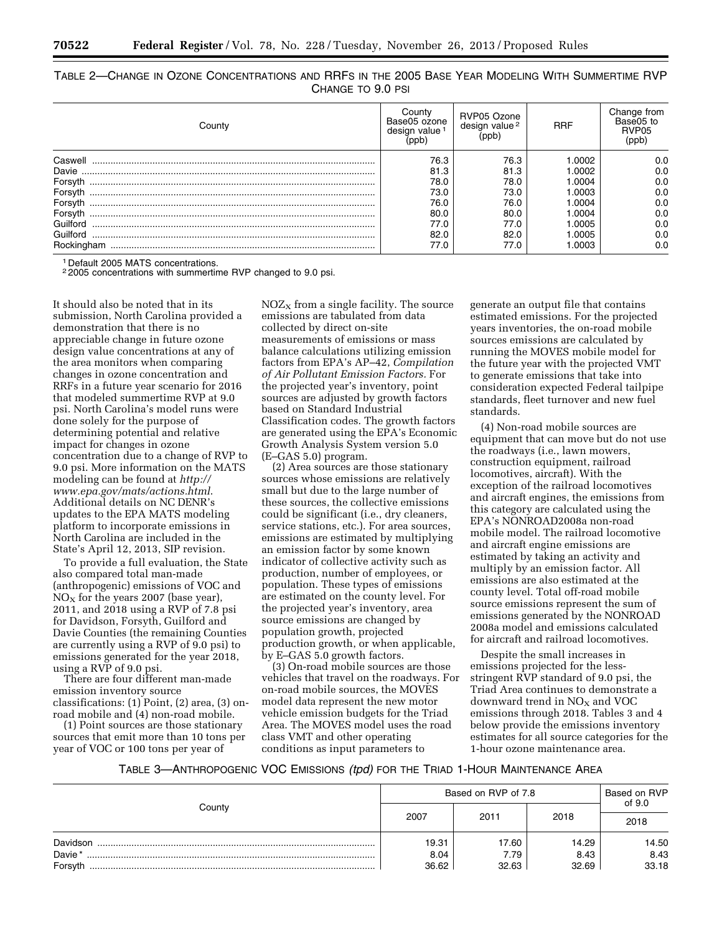| TABLE 2—CHANGE IN OZONE CONCENTRATIONS AND RRFS IN THE 2005 BASE YEAR MODELING WITH SUMMERTIME RVP |                   |  |  |
|----------------------------------------------------------------------------------------------------|-------------------|--|--|
|                                                                                                    | CHANGE TO 9.0 PSI |  |  |

| Countv     | County<br>Base05 ozone<br>desian value 1<br>'opb | RVP05 Ozone<br>design value <sup>2</sup> | <b>RRF</b> | Base05 to<br>RVP <sub>05</sub><br>ppb) |
|------------|--------------------------------------------------|------------------------------------------|------------|----------------------------------------|
| Caswell    | 76.3                                             | 76.3                                     | .0002      | 0.0                                    |
| Davie      | 81.3                                             | 81.3                                     | -0002      | 0.0                                    |
| Forsyth    | 78.0                                             | 78.0                                     | .0004      | 0.0                                    |
| Forsyth    | 73.0                                             | 73.0                                     | .0003      | 0.0                                    |
| Forsyth    | 76.0                                             | 76.0                                     | L0004      | 0.0                                    |
| Forsyth    | 80.0                                             | 80.0                                     | L0004      | 0.0                                    |
| Guilford   | 77.0                                             | 77.0                                     | .0005      | 0.0                                    |
| Guilford   | 82.0                                             | 82.0                                     | .0005      | 0.0                                    |
| Rockingham | 77.0                                             | 77.0                                     | .0003      | 0.0                                    |

1 Default 2005 MATS concentrations.

<sup>2</sup> 2005 concentrations with summertime RVP changed to 9.0 psi.

It should also be noted that in its submission, North Carolina provided a demonstration that there is no appreciable change in future ozone design value concentrations at any of the area monitors when comparing changes in ozone concentration and RRFs in a future year scenario for 2016 that modeled summertime RVP at 9.0 psi. North Carolina's model runs were done solely for the purpose of determining potential and relative impact for changes in ozone concentration due to a change of RVP to 9.0 psi. More information on the MATS modeling can be found at *[http://](http://www.epa.gov/mats/actions.html) [www.epa.gov/mats/actions.html](http://www.epa.gov/mats/actions.html)*. Additional details on NC DENR's updates to the EPA MATS modeling platform to incorporate emissions in North Carolina are included in the State's April 12, 2013, SIP revision.

To provide a full evaluation, the State also compared total man-made (anthropogenic) emissions of VOC and  $NO<sub>x</sub>$  for the years 2007 (base year), 2011, and 2018 using a RVP of 7.8 psi for Davidson, Forsyth, Guilford and Davie Counties (the remaining Counties are currently using a RVP of 9.0 psi) to emissions generated for the year 2018, using a RVP of 9.0 psi.

There are four different man-made emission inventory source classifications: (1) Point, (2) area, (3) onroad mobile and (4) non-road mobile.

(1) Point sources are those stationary sources that emit more than 10 tons per year of VOC or 100 tons per year of

 $NOZ<sub>X</sub>$  from a single facility. The source emissions are tabulated from data collected by direct on-site measurements of emissions or mass balance calculations utilizing emission factors from EPA's AP–42, *Compilation of Air Pollutant Emission Factors.* For the projected year's inventory, point sources are adjusted by growth factors based on Standard Industrial Classification codes. The growth factors are generated using the EPA's Economic Growth Analysis System version 5.0 (E–GAS 5.0) program.

(2) Area sources are those stationary sources whose emissions are relatively small but due to the large number of these sources, the collective emissions could be significant (i.e., dry cleaners, service stations, etc.). For area sources, emissions are estimated by multiplying an emission factor by some known indicator of collective activity such as production, number of employees, or population. These types of emissions are estimated on the county level. For the projected year's inventory, area source emissions are changed by population growth, projected production growth, or when applicable, by E–GAS 5.0 growth factors.

(3) On-road mobile sources are those vehicles that travel on the roadways. For on-road mobile sources, the MOVES model data represent the new motor vehicle emission budgets for the Triad Area. The MOVES model uses the road class VMT and other operating conditions as input parameters to

generate an output file that contains estimated emissions. For the projected years inventories, the on-road mobile sources emissions are calculated by running the MOVES mobile model for the future year with the projected VMT to generate emissions that take into consideration expected Federal tailpipe standards, fleet turnover and new fuel standards.

(4) Non-road mobile sources are equipment that can move but do not use the roadways (i.e., lawn mowers, construction equipment, railroad locomotives, aircraft). With the exception of the railroad locomotives and aircraft engines, the emissions from this category are calculated using the EPA's NONROAD2008a non-road mobile model. The railroad locomotive and aircraft engine emissions are estimated by taking an activity and multiply by an emission factor. All emissions are also estimated at the county level. Total off-road mobile source emissions represent the sum of emissions generated by the NONROAD 2008a model and emissions calculated for aircraft and railroad locomotives.

Despite the small increases in emissions projected for the lessstringent RVP standard of 9.0 psi, the Triad Area continues to demonstrate a downward trend in  $NO<sub>X</sub>$  and VOC emissions through 2018. Tables 3 and 4 below provide the emissions inventory estimates for all source categories for the 1-hour ozone maintenance area.

TABLE 3—ANTHROPOGENIC VOC EMISSIONS *(tpd)* FOR THE TRIAD 1-HOUR MAINTENANCE AREA

| County   | Based on RVP of 7.8 |       |       | Based on RVP |
|----------|---------------------|-------|-------|--------------|
|          |                     |       | 2018  | of 9.0       |
|          | 2007                | 2011  |       | 2018         |
| Davidson | 19.31               | 17.60 | 14.29 | 14.50        |
| Davie*   | 8.04                | 7.79  | 8.43  | 8.43         |
| Forsyth  | 36.62               | 32.63 | 32.69 | 33.18        |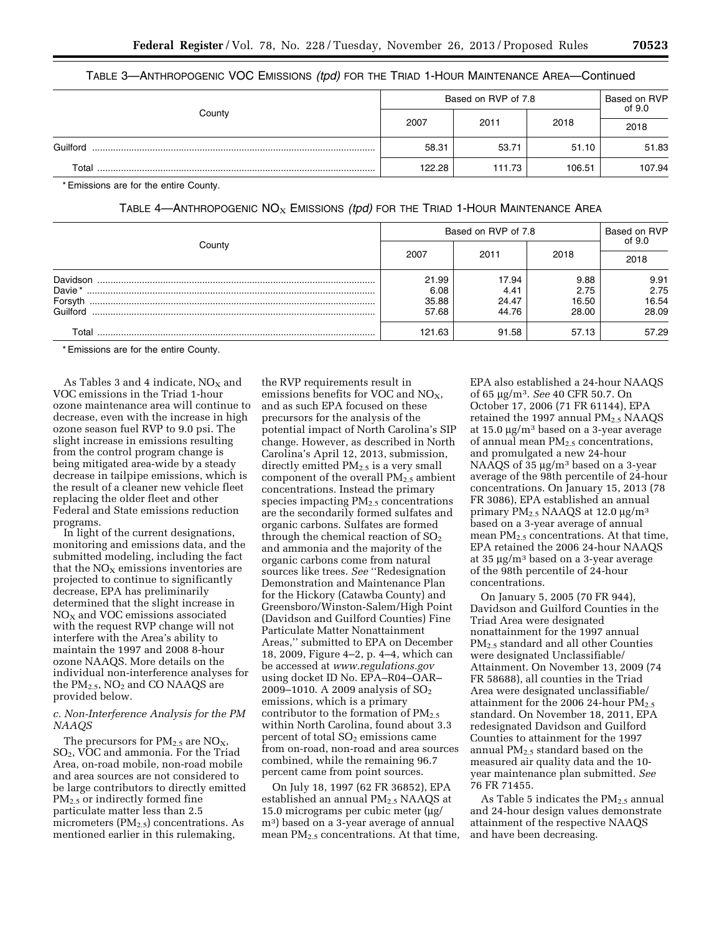# TABLE 3—ANTHROPOGENIC VOC EMISSIONS *(tpd)* FOR THE TRIAD 1-HOUR MAINTENANCE AREA—Continued

|          | Based on RVP of 7.8 |              |        | Based on RVP<br>of 9.0 |
|----------|---------------------|--------------|--------|------------------------|
| County   | 2007                | 2011<br>2018 | 2018   |                        |
| Guilford | 58.31               | 53.71        | 51.10  | 51.83                  |
| Total    | 122.28              | 111.73       | 106.51 | 107.94                 |

\* Emissions are for the entire County.

# TABLE 4—ANTHROPOGENIC NOX EMISSIONS *(tpd)* FOR THE TRIAD 1-HOUR MAINTENANCE AREA

| County                                    | Based on RVP of 7.8             |                                 |                                | Based on RVP<br>of 9.0         |
|-------------------------------------------|---------------------------------|---------------------------------|--------------------------------|--------------------------------|
|                                           | 2007                            | 2011                            | 2018                           | 2018                           |
| Davidson<br>Davie*<br>Forsyth<br>Guilford | 21.99<br>6.08<br>35.88<br>57.68 | 17.94<br>4.41<br>24.47<br>44.76 | 9.88<br>2.75<br>16.50<br>28.00 | 9.91<br>2.75<br>16.54<br>28.09 |
| Total                                     | 121.63                          | 91.58                           | 57.13                          | 57.29                          |

\* Emissions are for the entire County.

As Tables 3 and 4 indicate,  $NO<sub>X</sub>$  and VOC emissions in the Triad 1-hour ozone maintenance area will continue to decrease, even with the increase in high ozone season fuel RVP to 9.0 psi. The slight increase in emissions resulting from the control program change is being mitigated area-wide by a steady decrease in tailpipe emissions, which is the result of a cleaner new vehicle fleet replacing the older fleet and other Federal and State emissions reduction programs.

In light of the current designations, monitoring and emissions data, and the submitted modeling, including the fact that the  $NO<sub>x</sub>$  emissions inventories are projected to continue to significantly decrease, EPA has preliminarily determined that the slight increase in  $NO<sub>X</sub>$  and VOC emissions associated with the request RVP change will not interfere with the Area's ability to maintain the 1997 and 2008 8-hour ozone NAAQS. More details on the individual non-interference analyses for the  $PM_{2.5}$ ,  $NO<sub>2</sub>$  and CO NAAQS are provided below.

### *c. Non-Interference Analysis for the PM NAAQS*

The precursors for  $PM_{2.5}$  are  $NO_{X}$ , SO2, VOC and ammonia. For the Triad Area, on-road mobile, non-road mobile and area sources are not considered to be large contributors to directly emitted PM2.5 or indirectly formed fine particulate matter less than 2.5 micrometers  $(PM_{2.5})$  concentrations. As mentioned earlier in this rulemaking,

the RVP requirements result in emissions benefits for VOC and  $NO<sub>X</sub>$ , and as such EPA focused on these precursors for the analysis of the potential impact of North Carolina's SIP change. However, as described in North Carolina's April 12, 2013, submission, directly emitted  $PM_{2.5}$  is a very small component of the overall  $PM_{2.5}$  ambient concentrations. Instead the primary species impacting  $PM<sub>2.5</sub>$  concentrations are the secondarily formed sulfates and organic carbons. Sulfates are formed through the chemical reaction of  $SO<sub>2</sub>$ and ammonia and the majority of the organic carbons come from natural sources like trees. *See* ''Redesignation Demonstration and Maintenance Plan for the Hickory (Catawba County) and Greensboro/Winston-Salem/High Point (Davidson and Guilford Counties) Fine Particulate Matter Nonattainment Areas,'' submitted to EPA on December 18, 2009, Figure 4–2, p. 4–4, which can be accessed at *[www.regulations.gov](http://www.regulations.gov)*  using docket ID No. EPA–R04–OAR– 2009–1010. A 2009 analysis of  $SO_2$ emissions, which is a primary contributor to the formation of  $PM_{2.5}$ within North Carolina, found about 3.3 percent of total  $SO<sub>2</sub>$  emissions came from on-road, non-road and area sources combined, while the remaining 96.7 percent came from point sources.

On July 18, 1997 (62 FR 36852), EPA established an annual  $PM<sub>2</sub>$  5 NAAOS at 15.0 micrograms per cubic meter  $\mu$ g/ m3) based on a 3-year average of annual mean PM2.5 concentrations. At that time,

EPA also established a 24-hour NAAQS of 65 mg/m3. *See* 40 CFR 50.7. On October 17, 2006 (71 FR 61144), EPA retained the 1997 annual  $PM<sub>2.5</sub> NAAQS$ at  $15.0 \mu g/m^3$  based on a 3-year average of annual mean PM<sub>2.5</sub> concentrations, and promulgated a new 24-hour NAAQS of  $35 \mu g/m^3$  based on a 3-year average of the 98th percentile of 24-hour concentrations. On January 15, 2013 (78 FR 3086), EPA established an annual primary  $PM_{2.5}$  NAAQS at 12.0  $\mu$ g/m<sup>3</sup> based on a 3-year average of annual mean  $PM_{2.5}$  concentrations. At that time, EPA retained the 2006 24-hour NAAQS at 35  $\mu$ g/m<sup>3</sup> based on a 3-year average of the 98th percentile of 24-hour concentrations.

On January 5, 2005 (70 FR 944), Davidson and Guilford Counties in the Triad Area were designated nonattainment for the 1997 annual PM2.5 standard and all other Counties were designated Unclassifiable/ Attainment. On November 13, 2009 (74 FR 58688), all counties in the Triad Area were designated unclassifiable/ attainment for the 2006 24-hour  $PM<sub>2.5</sub>$ standard. On November 18, 2011, EPA redesignated Davidson and Guilford Counties to attainment for the 1997 annual PM2.5 standard based on the measured air quality data and the 10 year maintenance plan submitted. *See*  76 FR 71455.

As Table 5 indicates the  $PM_2$  5 annual and 24-hour design values demonstrate attainment of the respective NAAQS and have been decreasing.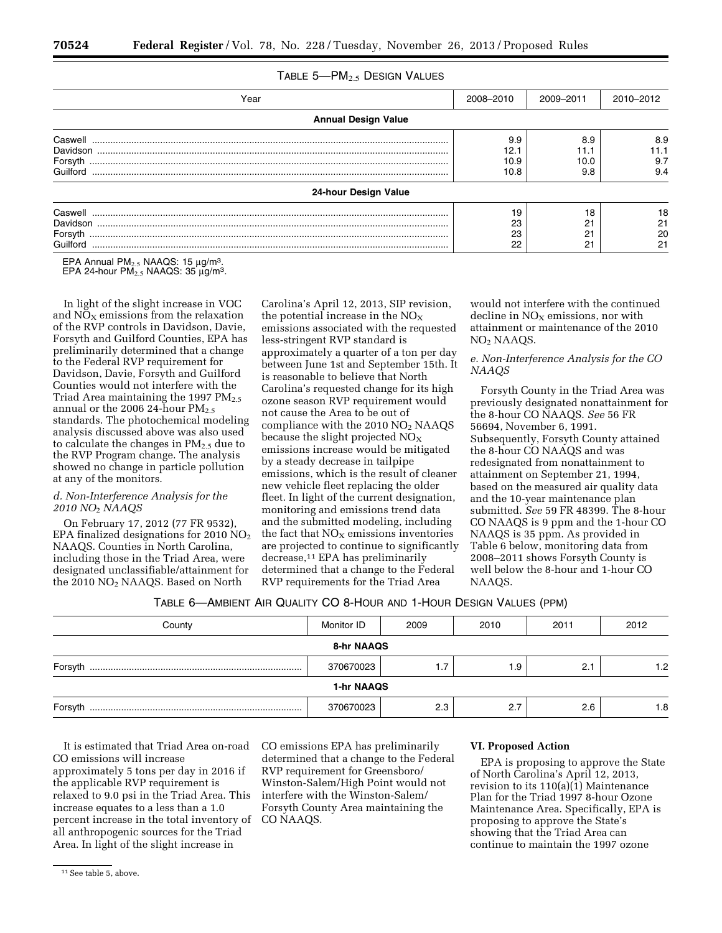| Year                       | 2008-2010 | 2009-2011 | 2010-2012 |
|----------------------------|-----------|-----------|-----------|
| <b>Annual Design Value</b> |           |           |           |
| Caswell                    | 9.9       | 8.9       | 8.9       |
| Davidson                   | 12.1      | L1.1      | 11.1      |
| Forsyth                    | 10.9      | 10.0      | 9.7       |
| Guilford                   | 10.8      | 9.8       | 9.4       |
| 24-hour Design Value       |           |           |           |
|                            | 19        | 18        | 18        |
| Davidson                   | 23        | 21        | 21        |
| Forsyth                    | 23        | 21        | 20        |
| Guilford                   | 22        | 21        | 21        |

EPA Annual  $PM_{2.5}$  NAAQS: 15  $\mu q/m^3$ . EPA 24-hour  $PM_{2.5}$  NAAQS: 35  $\mu$ g/m<sup>3</sup>.

In light of the slight increase in VOC and  $NO<sub>x</sub>$  emissions from the relaxation of the RVP controls in Davidson, Davie, Forsyth and Guilford Counties, EPA has preliminarily determined that a change to the Federal RVP requirement for Davidson, Davie, Forsyth and Guilford Counties would not interfere with the Triad Area maintaining the 1997  $PM_{2.5}$ annual or the 2006 24-hour  $PM_{2.5}$ standards. The photochemical modeling analysis discussed above was also used to calculate the changes in  $PM_{2.5}$  due to the RVP Program change. The analysis showed no change in particle pollution at any of the monitors.

#### *d. Non-Interference Analysis for the 2010 NO*2 *NAAQS*

On February 17, 2012 (77 FR 9532), EPA finalized designations for 2010  $NO<sub>2</sub>$ NAAQS. Counties in North Carolina, including those in the Triad Area, were designated unclassifiable/attainment for the 2010 NO2 NAAQS. Based on North

Carolina's April 12, 2013, SIP revision, the potential increase in the  $NO<sub>x</sub>$ emissions associated with the requested less-stringent RVP standard is approximately a quarter of a ton per day between June 1st and September 15th. It is reasonable to believe that North Carolina's requested change for its high ozone season RVP requirement would not cause the Area to be out of compliance with the  $2010$  NO<sub>2</sub> NAAQS because the slight projected  $NO<sub>x</sub>$ emissions increase would be mitigated by a steady decrease in tailpipe emissions, which is the result of cleaner new vehicle fleet replacing the older fleet. In light of the current designation, monitoring and emissions trend data and the submitted modeling, including the fact that  $NO<sub>x</sub>$  emissions inventories are projected to continue to significantly decrease,<sup>11</sup> EPA has preliminarily determined that a change to the Federal RVP requirements for the Triad Area

would not interfere with the continued decline in  $NO<sub>X</sub>$  emissions, nor with attainment or maintenance of the 2010 NO2 NAAQS.

## *e. Non-Interference Analysis for the CO NAAQS*

Forsyth County in the Triad Area was previously designated nonattainment for the 8-hour CO NAAQS. *See* 56 FR 56694, November 6, 1991. Subsequently, Forsyth County attained the 8-hour CO NAAQS and was redesignated from nonattainment to attainment on September 21, 1994, based on the measured air quality data and the 10-year maintenance plan submitted. *See* 59 FR 48399. The 8-hour CO NAAQS is 9 ppm and the 1-hour CO NAAQS is 35 ppm. As provided in Table 6 below, monitoring data from 2008–2011 shows Forsyth County is well below the 8-hour and 1-hour CO NAAQS.

| TABLE 6-AMBIENT AIR QUALITY CO 8-HOUR AND 1-HOUR DESIGN VALUES (PPM) |  |  |  |
|----------------------------------------------------------------------|--|--|--|
|----------------------------------------------------------------------|--|--|--|

| County     | Monitor ID | 2009 | 2010 | 2011           | 2012 |  |
|------------|------------|------|------|----------------|------|--|
| 8-hr NAAQS |            |      |      |                |      |  |
| Forsyth    | 370670023  |      | 9. ا | റ<br><u>z.</u> | 1.2  |  |
|            | 1-hr NAAQS |      |      |                |      |  |
| Forsyth    | 370670023  | 2.3  | 2.7  | 2.6            | 1.8  |  |

It is estimated that Triad Area on-road CO emissions will increase approximately 5 tons per day in 2016 if the applicable RVP requirement is relaxed to 9.0 psi in the Triad Area. This increase equates to a less than a 1.0 percent increase in the total inventory of all anthropogenic sources for the Triad Area. In light of the slight increase in

CO emissions EPA has preliminarily determined that a change to the Federal RVP requirement for Greensboro/ Winston-Salem/High Point would not interfere with the Winston-Salem/ Forsyth County Area maintaining the CO NAAQS.

#### **VI. Proposed Action**

EPA is proposing to approve the State of North Carolina's April 12, 2013, revision to its 110(a)(1) Maintenance Plan for the Triad 1997 8-hour Ozone Maintenance Area. Specifically, EPA is proposing to approve the State's showing that the Triad Area can continue to maintain the 1997 ozone

<sup>11</sup> See table 5, above.